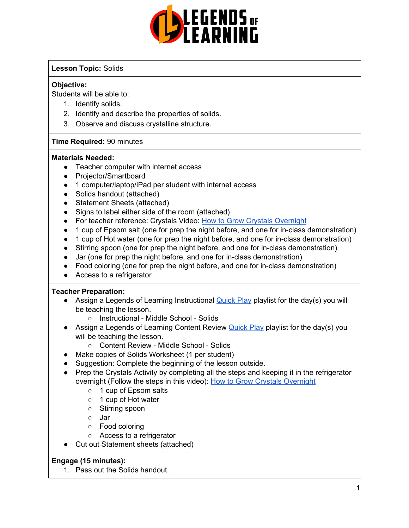

#### **Lesson Topic:** Solids

#### **Objective:**

Students will be able to:

- 1. Identify solids.
- 2. Identify and describe the properties of solids.
- 3. Observe and discuss crystalline structure.

#### **Time Required:** 90 minutes

#### **Materials Needed:**

- Teacher computer with internet access
- Projector/Smartboard
- 1 computer/laptop/iPad per student with internet access
- Solids handout (attached)
- Statement Sheets (attached)
- Signs to label either side of the room (attached)
- For teacher reference: Crystals Video: How to Grow Crystals [Overnight](https://www.youtube.com/watch?v=23Esj4wjVng)
- 1 cup of Epsom salt (one for prep the night before, and one for in-class demonstration)
- 1 cup of Hot water (one for prep the night before, and one for in-class demonstration)
- Stirring spoon (one for prep the night before, and one for in-class demonstration)
- Jar (one for prep the night before, and one for in-class demonstration)
- Food coloring (one for prep the night before, and one for in-class demonstration)
- Access to a refrigerator

#### **Teacher Preparation:**

- Assign a Legends of Learning Instructional **[Quick](https://intercom.help/legends-of-learning/en/articles/2701866-assigning-a-quick-play-playlist) Play playlist for the day(s)** you will be teaching the lesson.
	- Instructional Middle School Solids
- Assign a Legends of Learning Content Review [Quick](https://intercom.help/legends-of-learning/en/articles/2701866-assigning-a-quick-play-playlist) Play playlist for the day(s) you will be teaching the lesson.
	- Content Review Middle School Solids
- Make copies of Solids Worksheet (1 per student)
- Suggestion: Complete the beginning of the lesson outside.
- Prep the Crystals Activity by completing all the steps and keeping it in the refrigerator overnight (Follow the steps in this video): How to Grow Crystals [Overnight](https://www.youtube.com/watch?v=23Esj4wjVng)
	- 1 cup of Epsom salts
	- 1 cup of Hot water
	- Stirring spoon
	- Jar
	- Food coloring
	- Access to a refrigerator
- Cut out Statement sheets (attached)

#### **Engage (15 minutes):**

1. Pass out the Solids handout.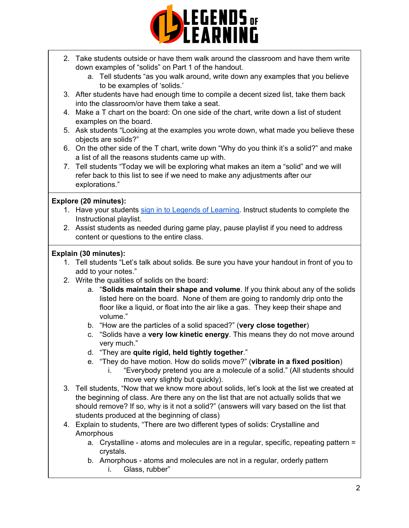

- 2. Take students outside or have them walk around the classroom and have them write down examples of "solids" on Part 1 of the handout.
	- a. Tell students "as you walk around, write down any examples that you believe to be examples of 'solids.'
- 3. After students have had enough time to compile a decent sized list, take them back into the classroom/or have them take a seat.
- 4. Make a T chart on the board: On one side of the chart, write down a list of student examples on the board.
- 5. Ask students "Looking at the examples you wrote down, what made you believe these objects are solids?"
- 6. On the other side of the T chart, write down "Why do you think it's a solid?" and make a list of all the reasons students came up with.
- 7. Tell students "Today we will be exploring what makes an item a "solid" and we will refer back to this list to see if we need to make any adjustments after our explorations."

#### **Explore (20 minutes):**

- 1. Have your students sign in to Legends of [Learning](https://intercom.help/legends-of-learning/en/articles/2154920-students-joining-a-playlist). Instruct students to complete the Instructional playlist.
- 2. Assist students as needed during game play, pause playlist if you need to address content or questions to the entire class.

#### **Explain (30 minutes):**

- 1. Tell students "Let's talk about solids. Be sure you have your handout in front of you to add to your notes."
- 2. Write the qualities of solids on the board:
	- a. "**Solids maintain their shape and volume**. If you think about any of the solids listed here on the board. None of them are going to randomly drip onto the floor like a liquid, or float into the air like a gas. They keep their shape and volume."
	- b. "How are the particles of a solid spaced?" (**very close together**)
	- c. "Solids have a **very low kinetic energy**. This means they do not move around very much."
	- d. "They are **quite rigid, held tightly together**."
	- e. "They do have motion. How do solids move?" (**vibrate in a fixed position**)
		- i. "Everybody pretend you are a molecule of a solid." (All students should move very slightly but quickly).
- 3. Tell students, "Now that we know more about solids, let's look at the list we created at the beginning of class. Are there any on the list that are not actually solids that we should remove? If so, why is it not a solid?" (answers will vary based on the list that students produced at the beginning of class)
- 4. Explain to students, "There are two different types of solids: Crystalline and **Amorphous** 
	- a. Crystalline atoms and molecules are in a regular, specific, repeating pattern = crystals.
	- b. Amorphous atoms and molecules are not in a regular, orderly pattern i. Glass, rubber"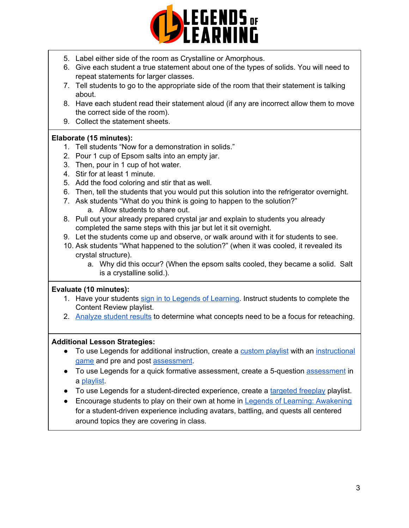

- 5. Label either side of the room as Crystalline or Amorphous.
- 6. Give each student a true statement about one of the types of solids. You will need to repeat statements for larger classes.
- 7. Tell students to go to the appropriate side of the room that their statement is talking about.
- 8. Have each student read their statement aloud (if any are incorrect allow them to move the correct side of the room).
- 9. Collect the statement sheets.

#### **Elaborate (15 minutes):**

- 1. Tell students "Now for a demonstration in solids."
- 2. Pour 1 cup of Epsom salts into an empty jar.
- 3. Then, pour in 1 cup of hot water.
- 4. Stir for at least 1 minute.
- 5. Add the food coloring and stir that as well.
- 6. Then, tell the students that you would put this solution into the refrigerator overnight.
- 7. Ask students "What do you think is going to happen to the solution?" a. Allow students to share out.
- 8. Pull out your already prepared crystal jar and explain to students you already
	- completed the same steps with this jar but let it sit overnight.
- 9. Let the students come up and observe, or walk around with it for students to see.
- 10. Ask students "What happened to the solution?" (when it was cooled, it revealed its crystal structure).
	- a. Why did this occur? (When the epsom salts cooled, they became a solid. Salt is a crystalline solid.).

#### **Evaluate (10 minutes):**

- 1. Have your students sign in to Legends of [Learning](https://intercom.help/legends-of-learning/en/articles/2154920-students-joining-a-playlist). Instruct students to complete the Content Review playlist.
- 2. [Analyze](https://intercom.help/legends-of-learning/en/articles/2154918-tracking-student-progress-and-performance) student results to determine what concepts need to be a focus for reteaching.

#### **Additional Lesson Strategies:**

- To use Legends for additional instruction, create a [custom](https://intercom.help/legends-of-learning/en/articles/2154910-creating-a-playlist) playlist with an [instructional](https://intercom.help/legends-of-learning/en/articles/3505828-types-of-games) [game](https://intercom.help/legends-of-learning/en/articles/3505828-types-of-games) and pre and post [assessment](https://intercom.help/legends-of-learning/en/articles/2154913-adding-assessments-to-a-playlist).
- To use Legends for a quick formative [assessment](https://intercom.help/legends-of-learning/en/articles/2154913-adding-assessments-to-a-playlist), create a 5-question assessment in a [playlist](https://intercom.help/legends-of-learning/en/articles/2154910-creating-a-playlist).
- To use Legends for a student-directed experience, create a [targeted](https://intercom.help/legends-of-learning/en/articles/3340814-targeted-freeplay) freeplay playlist.
- Encourage students to play on their own at home in Legends of Learning: [Awakening](https://intercom.help/legends-of-learning/en/articles/2425490-legends-of-learning-awakening) for a student-driven experience including avatars, battling, and quests all centered around topics they are covering in class.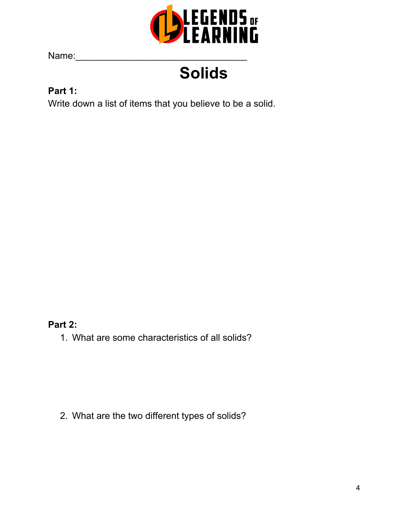

Name:

## **Solids**

#### **Part 1:**

Write down a list of items that you believe to be a solid.

#### **Part 2:**

1. What are some characteristics of all solids?

2. What are the two different types of solids?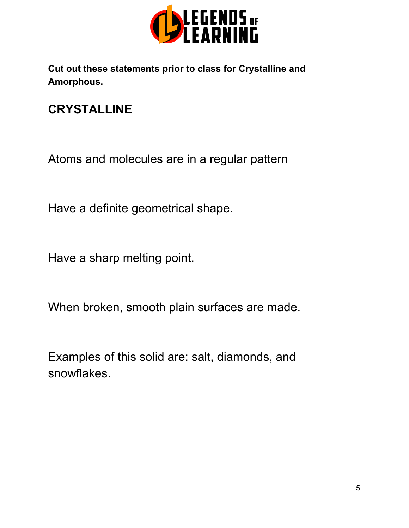

**Cut out these statements prior to class for Crystalline and Amorphous.**

### **CRYSTALLINE**

Atoms and molecules are in a regular pattern

Have a definite geometrical shape.

Have a sharp melting point.

When broken, smooth plain surfaces are made.

Examples of this solid are: salt, diamonds, and snowflakes.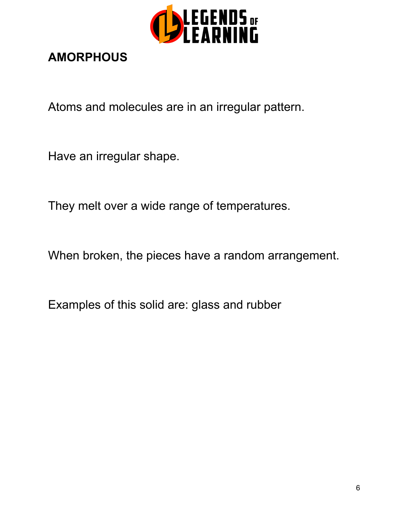

### **AMORPHOUS**

Atoms and molecules are in an irregular pattern.

Have an irregular shape.

They melt over a wide range of temperatures.

When broken, the pieces have a random arrangement.

Examples of this solid are: glass and rubber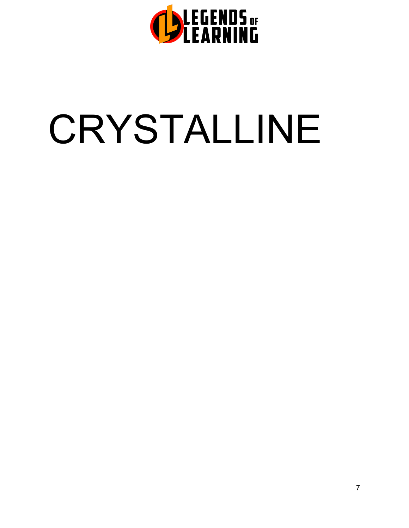

# CRYSTALLINE